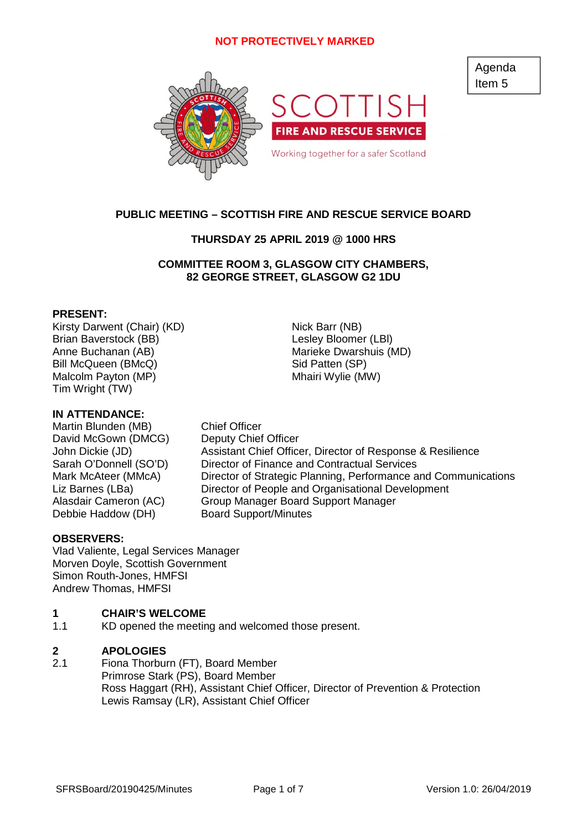

## **PUBLIC MEETING – SCOTTISH FIRE AND RESCUE SERVICE BOARD**

## **THURSDAY 25 APRIL 2019 @ 1000 HRS**

## **COMMITTEE ROOM 3, GLASGOW CITY CHAMBERS, 82 GEORGE STREET, GLASGOW G2 1DU**

### **PRESENT:**

Kirsty Darwent (Chair) (KD) Nick Barr (NB) Brian Baverstock (BB) Contract Contract Lesley Bloomer (LBI) Anne Buchanan (AB) Marieke Dwarshuis (MD) Bill McQueen (BMcQ) Sid Patten (SP) Malcolm Payton (MP) Mhairi Wylie (MW) Tim Wright (TW)

### **IN ATTENDANCE:**

Martin Blunden (MB) Chief Officer David McGown (DMCG) Deputy Chief Officer Debbie Haddow (DH) Board Support/Minutes

John Dickie (JD) Assistant Chief Officer, Director of Response & Resilience Sarah O'Donnell (SO'D) Director of Finance and Contractual Services Mark McAteer (MMcA) Director of Strategic Planning, Performance and Communications Liz Barnes (LBa) Director of People and Organisational Development Alasdair Cameron (AC) Group Manager Board Support Manager

### **OBSERVERS:**

Vlad Valiente, Legal Services Manager Morven Doyle, Scottish Government Simon Routh-Jones, HMFSI Andrew Thomas, HMFSI

#### **1 CHAIR'S WELCOME**

1.1 KD opened the meeting and welcomed those present.

#### **2 APOLOGIES**

2.1 Fiona Thorburn (FT), Board Member Primrose Stark (PS), Board Member Ross Haggart (RH), Assistant Chief Officer, Director of Prevention & Protection Lewis Ramsay (LR), Assistant Chief Officer

SFRSBoard/20190425/Minutes Page 1 of 7 Version 1.0: 26/04/2019

Agenda Item 5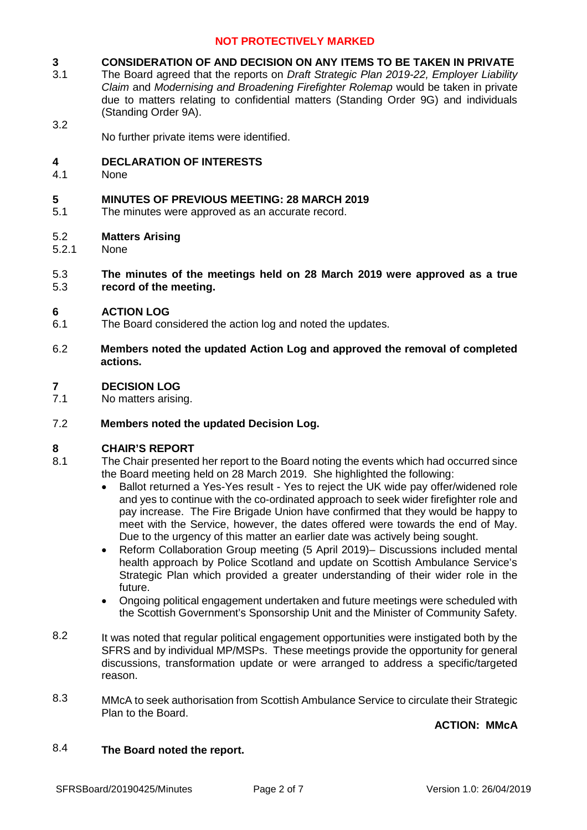#### **3 CONSIDERATION OF AND DECISION ON ANY ITEMS TO BE TAKEN IN PRIVATE**

- 3.1 The Board agreed that the reports on *Draft Strategic Plan 2019-22, Employer Liability Claim* and *Modernising and Broadening Firefighter Rolemap* would be taken in private due to matters relating to confidential matters (Standing Order 9G) and individuals (Standing Order 9A).
	- No further private items were identified.

#### **4 DECLARATION OF INTERESTS**

4.1 **None** 

3.2

#### **5 MINUTES OF PREVIOUS MEETING: 28 MARCH 2019**

5.1 The minutes were approved as an accurate record.

#### 5.2 **Matters Arising**

5.2.1 None

#### 5.3 5.3 **The minutes of the meetings held on 28 March 2019 were approved as a true record of the meeting.**

#### **6 ACTION LOG**

- 6.1 The Board considered the action log and noted the updates.
- 6.2 **Members noted the updated Action Log and approved the removal of completed actions.**

#### **7 DECISION LOG**

7.1 No matters arising.

#### 7.2 **Members noted the updated Decision Log.**

### **8 CHAIR'S REPORT**

- 8.1 The Chair presented her report to the Board noting the events which had occurred since the Board meeting held on 28 March 2019. She highlighted the following:
	- Ballot returned a Yes-Yes result Yes to reject the UK wide pay offer/widened role and yes to continue with the co-ordinated approach to seek wider firefighter role and pay increase. The Fire Brigade Union have confirmed that they would be happy to meet with the Service, however, the dates offered were towards the end of May. Due to the urgency of this matter an earlier date was actively being sought.
	- Reform Collaboration Group meeting (5 April 2019)– Discussions included mental health approach by Police Scotland and update on Scottish Ambulance Service's Strategic Plan which provided a greater understanding of their wider role in the future.
	- Ongoing political engagement undertaken and future meetings were scheduled with the Scottish Government's Sponsorship Unit and the Minister of Community Safety.
- 8.2 It was noted that regular political engagement opportunities were instigated both by the SFRS and by individual MP/MSPs. These meetings provide the opportunity for general discussions, transformation update or were arranged to address a specific/targeted reason.
- 8.3 MMcA to seek authorisation from Scottish Ambulance Service to circulate their Strategic Plan to the Board.

**ACTION: MMcA**

#### 8.4 **The Board noted the report.**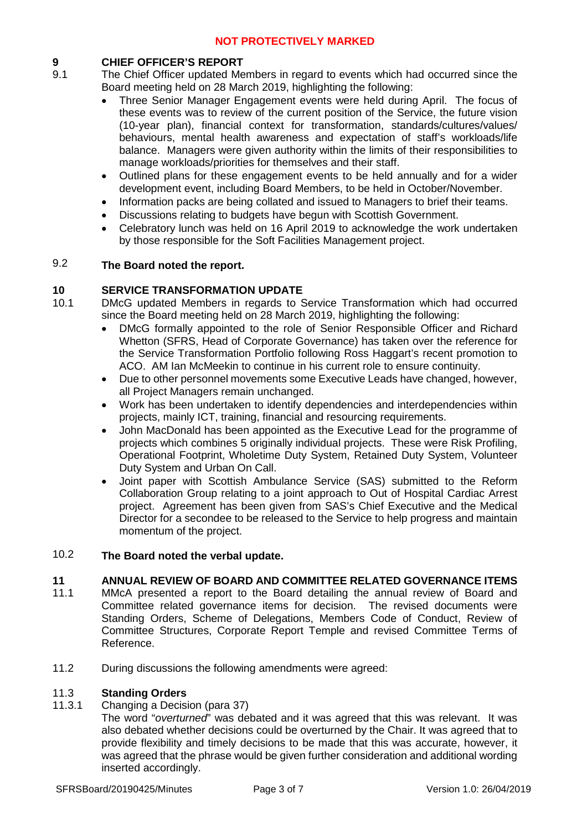## **9 CHIEF OFFICER'S REPORT**

- 9.1 The Chief Officer updated Members in regard to events which had occurred since the Board meeting held on 28 March 2019, highlighting the following:
	- Three Senior Manager Engagement events were held during April. The focus of these events was to review of the current position of the Service, the future vision (10-year plan), financial context for transformation, standards/cultures/values/ behaviours, mental health awareness and expectation of staff's workloads/life balance. Managers were given authority within the limits of their responsibilities to manage workloads/priorities for themselves and their staff.
	- Outlined plans for these engagement events to be held annually and for a wider development event, including Board Members, to be held in October/November.
	- Information packs are being collated and issued to Managers to brief their teams.
	- Discussions relating to budgets have begun with Scottish Government.
	- Celebratory lunch was held on 16 April 2019 to acknowledge the work undertaken by those responsible for the Soft Facilities Management project.

#### 9.2 **The Board noted the report.**

## **10 SERVICE TRANSFORMATION UPDATE**

- 10.1 DMcG updated Members in regards to Service Transformation which had occurred since the Board meeting held on 28 March 2019, highlighting the following:
	- DMcG formally appointed to the role of Senior Responsible Officer and Richard Whetton (SFRS, Head of Corporate Governance) has taken over the reference for the Service Transformation Portfolio following Ross Haggart's recent promotion to ACO. AM Ian McMeekin to continue in his current role to ensure continuity.
	- Due to other personnel movements some Executive Leads have changed, however, all Project Managers remain unchanged.
	- Work has been undertaken to identify dependencies and interdependencies within projects, mainly ICT, training, financial and resourcing requirements.
	- John MacDonald has been appointed as the Executive Lead for the programme of projects which combines 5 originally individual projects. These were Risk Profiling, Operational Footprint, Wholetime Duty System, Retained Duty System, Volunteer Duty System and Urban On Call.
	- Joint paper with Scottish Ambulance Service (SAS) submitted to the Reform Collaboration Group relating to a joint approach to Out of Hospital Cardiac Arrest project. Agreement has been given from SAS's Chief Executive and the Medical Director for a secondee to be released to the Service to help progress and maintain momentum of the project.

#### 10.2 **The Board noted the verbal update.**

## **11 ANNUAL REVIEW OF BOARD AND COMMITTEE RELATED GOVERNANCE ITEMS**

- 11.1 MMcA presented a report to the Board detailing the annual review of Board and Committee related governance items for decision. The revised documents were Standing Orders, Scheme of Delegations, Members Code of Conduct, Review of Committee Structures, Corporate Report Temple and revised Committee Terms of Reference.
- 11.2 During discussions the following amendments were agreed:

#### 11.3 **Standing Orders**

- 11.3.1 Changing a Decision (para 37)
	- The word "*overturned*" was debated and it was agreed that this was relevant. It was also debated whether decisions could be overturned by the Chair. It was agreed that to provide flexibility and timely decisions to be made that this was accurate, however, it was agreed that the phrase would be given further consideration and additional wording inserted accordingly.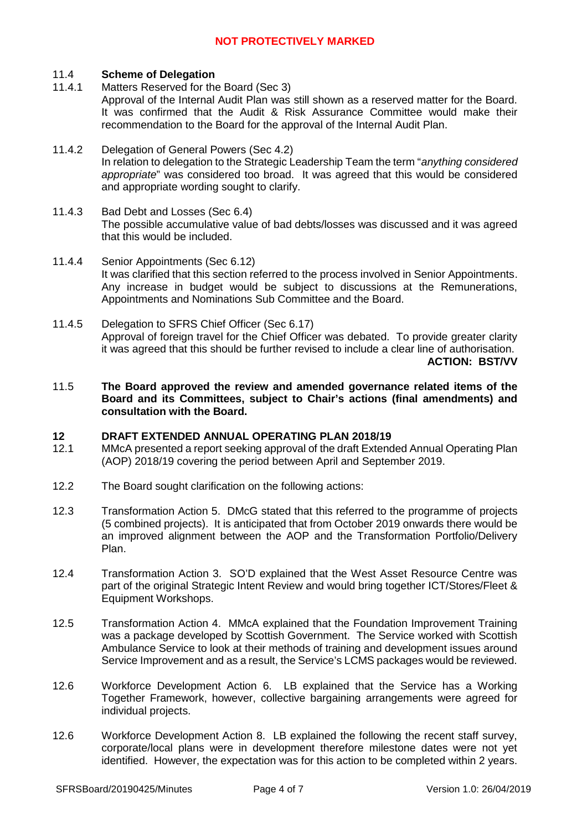#### 11.4 **Scheme of Delegation**

- 11.4.1 Matters Reserved for the Board (Sec 3) Approval of the Internal Audit Plan was still shown as a reserved matter for the Board. It was confirmed that the Audit & Risk Assurance Committee would make their recommendation to the Board for the approval of the Internal Audit Plan.
- 11.4.2 Delegation of General Powers (Sec 4.2) In relation to delegation to the Strategic Leadership Team the term "*anything considered appropriate*" was considered too broad. It was agreed that this would be considered and appropriate wording sought to clarify.
- 11.4.3 Bad Debt and Losses (Sec 6.4) The possible accumulative value of bad debts/losses was discussed and it was agreed that this would be included.
- 11.4.4 Senior Appointments (Sec 6.12) It was clarified that this section referred to the process involved in Senior Appointments. Any increase in budget would be subject to discussions at the Remunerations, Appointments and Nominations Sub Committee and the Board.
- 11.4.5 Delegation to SFRS Chief Officer (Sec 6.17) Approval of foreign travel for the Chief Officer was debated. To provide greater clarity it was agreed that this should be further revised to include a clear line of authorisation. **ACTION: BST/VV**
- 11.5 **The Board approved the review and amended governance related items of the Board and its Committees, subject to Chair's actions (final amendments) and consultation with the Board.**

### **12 DRAFT EXTENDED ANNUAL OPERATING PLAN 2018/19**

- 12.1 MMcA presented a report seeking approval of the draft Extended Annual Operating Plan (AOP) 2018/19 covering the period between April and September 2019.
- 12.2 The Board sought clarification on the following actions:
- 12.3 Transformation Action 5. DMcG stated that this referred to the programme of projects (5 combined projects). It is anticipated that from October 2019 onwards there would be an improved alignment between the AOP and the Transformation Portfolio/Delivery Plan.
- 12.4 Transformation Action 3. SO'D explained that the West Asset Resource Centre was part of the original Strategic Intent Review and would bring together ICT/Stores/Fleet & Equipment Workshops.
- 12.5 Transformation Action 4. MMcA explained that the Foundation Improvement Training was a package developed by Scottish Government. The Service worked with Scottish Ambulance Service to look at their methods of training and development issues around Service Improvement and as a result, the Service's LCMS packages would be reviewed.
- 12.6 Workforce Development Action 6. LB explained that the Service has a Working Together Framework, however, collective bargaining arrangements were agreed for individual projects.
- 12.6 Workforce Development Action 8. LB explained the following the recent staff survey, corporate/local plans were in development therefore milestone dates were not yet identified. However, the expectation was for this action to be completed within 2 years.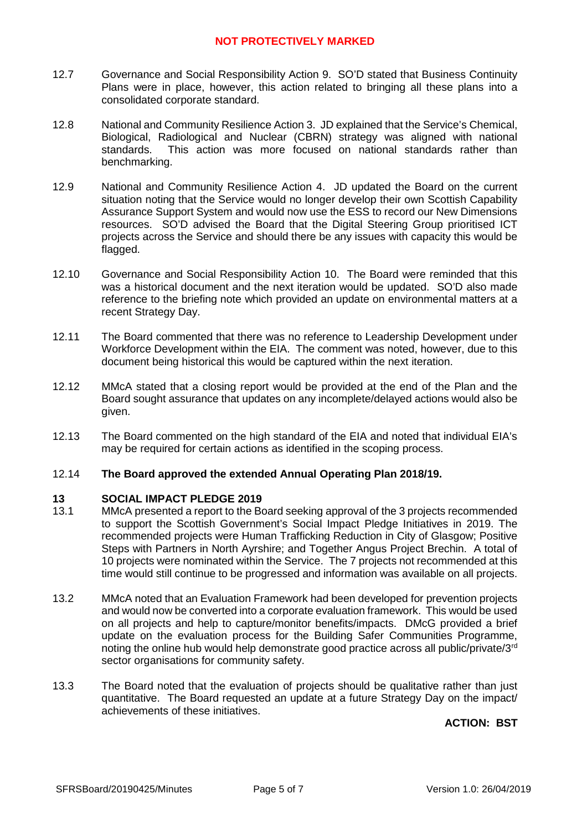- 12.7 Governance and Social Responsibility Action 9. SO'D stated that Business Continuity Plans were in place, however, this action related to bringing all these plans into a consolidated corporate standard.
- 12.8 National and Community Resilience Action 3. JD explained that the Service's Chemical, Biological, Radiological and Nuclear (CBRN) strategy was aligned with national standards. This action was more focused on national standards rather than benchmarking.
- 12.9 National and Community Resilience Action 4. JD updated the Board on the current situation noting that the Service would no longer develop their own Scottish Capability Assurance Support System and would now use the ESS to record our New Dimensions resources. SO'D advised the Board that the Digital Steering Group prioritised ICT projects across the Service and should there be any issues with capacity this would be flagged.
- 12.10 Governance and Social Responsibility Action 10. The Board were reminded that this was a historical document and the next iteration would be updated. SO'D also made reference to the briefing note which provided an update on environmental matters at a recent Strategy Day.
- 12.11 The Board commented that there was no reference to Leadership Development under Workforce Development within the EIA. The comment was noted, however, due to this document being historical this would be captured within the next iteration.
- 12.12 MMcA stated that a closing report would be provided at the end of the Plan and the Board sought assurance that updates on any incomplete/delayed actions would also be given.
- 12.13 The Board commented on the high standard of the EIA and noted that individual EIA's may be required for certain actions as identified in the scoping process.

#### 12.14 **The Board approved the extended Annual Operating Plan 2018/19.**

### **13 SOCIAL IMPACT PLEDGE 2019**

- 13.1 MMcA presented a report to the Board seeking approval of the 3 projects recommended to support the Scottish Government's Social Impact Pledge Initiatives in 2019. The recommended projects were Human Trafficking Reduction in City of Glasgow; Positive Steps with Partners in North Ayrshire; and Together Angus Project Brechin. A total of 10 projects were nominated within the Service. The 7 projects not recommended at this time would still continue to be progressed and information was available on all projects.
- 13.2 MMcA noted that an Evaluation Framework had been developed for prevention projects and would now be converted into a corporate evaluation framework. This would be used on all projects and help to capture/monitor benefits/impacts. DMcG provided a brief update on the evaluation process for the Building Safer Communities Programme, noting the online hub would help demonstrate good practice across all public/private/3<sup>rd</sup> sector organisations for community safety.
- 13.3 The Board noted that the evaluation of projects should be qualitative rather than just quantitative. The Board requested an update at a future Strategy Day on the impact/ achievements of these initiatives.

**ACTION: BST**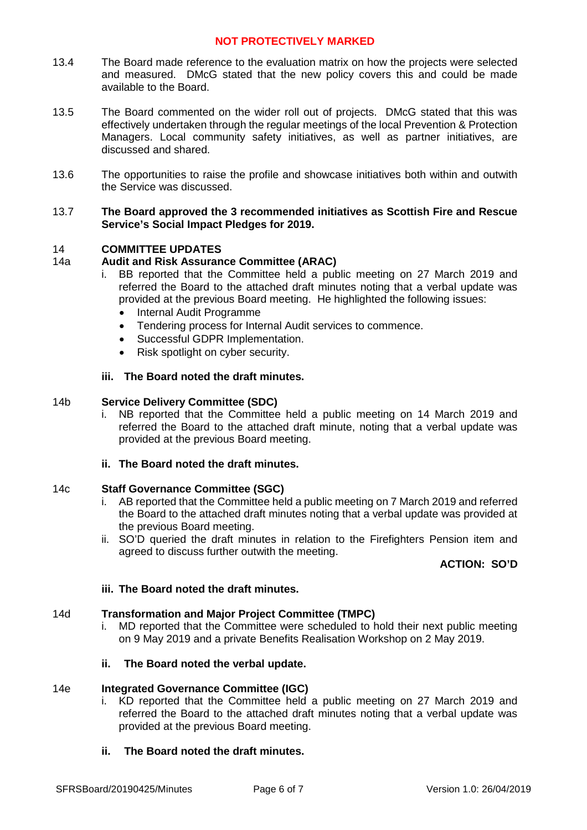- 13.4 The Board made reference to the evaluation matrix on how the projects were selected and measured. DMcG stated that the new policy covers this and could be made available to the Board.
- 13.5 The Board commented on the wider roll out of projects. DMcG stated that this was effectively undertaken through the regular meetings of the local Prevention & Protection Managers. Local community safety initiatives, as well as partner initiatives, are discussed and shared.
- 13.6 The opportunities to raise the profile and showcase initiatives both within and outwith the Service was discussed.

### 13.7 **The Board approved the 3 recommended initiatives as Scottish Fire and Rescue Service's Social Impact Pledges for 2019.**

## 14 **COMMITTEE UPDATES**

## 14a **Audit and Risk Assurance Committee (ARAC)**

- i. BB reported that the Committee held a public meeting on 27 March 2019 and referred the Board to the attached draft minutes noting that a verbal update was provided at the previous Board meeting. He highlighted the following issues:
	- Internal Audit Programme
	- Tendering process for Internal Audit services to commence.
	- Successful GDPR Implementation.
	- Risk spotlight on cyber security.
- **iii. The Board noted the draft minutes.**

### 14b **Service Delivery Committee (SDC)**

- i. NB reported that the Committee held a public meeting on 14 March 2019 and referred the Board to the attached draft minute, noting that a verbal update was provided at the previous Board meeting.
- **ii. The Board noted the draft minutes.**

### 14c **Staff Governance Committee (SGC)**

- i. AB reported that the Committee held a public meeting on 7 March 2019 and referred the Board to the attached draft minutes noting that a verbal update was provided at the previous Board meeting.
- ii. SO'D queried the draft minutes in relation to the Firefighters Pension item and agreed to discuss further outwith the meeting.

### **ACTION: SO'D**

### **iii. The Board noted the draft minutes.**

### 14d **Transformation and Major Project Committee (TMPC)**

i. MD reported that the Committee were scheduled to hold their next public meeting on 9 May 2019 and a private Benefits Realisation Workshop on 2 May 2019.

### **ii. The Board noted the verbal update.**

### 14e **Integrated Governance Committee (IGC)**

i. KD reported that the Committee held a public meeting on 27 March 2019 and referred the Board to the attached draft minutes noting that a verbal update was provided at the previous Board meeting.

## **ii. The Board noted the draft minutes.**